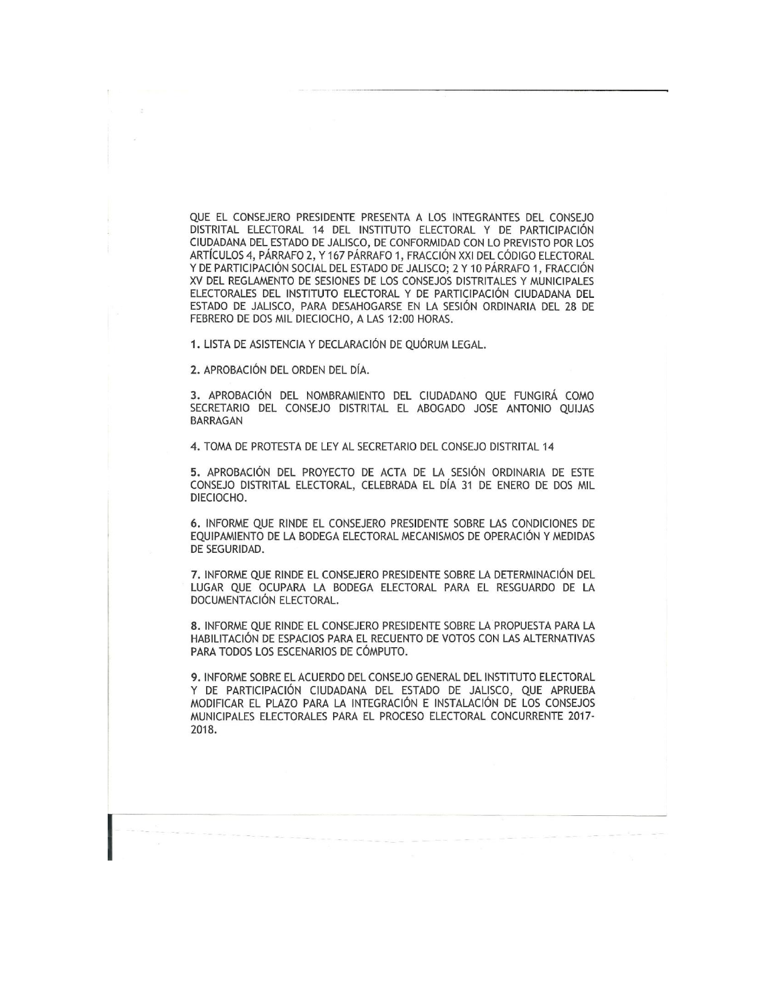QUE El CONSEJERO PRESIDENTE PRESENTA A LOS INTEGRANTES DEL CONSEJO DISTRITAL ELECTORAL 14 DEL INSTITUTO ELECTORAL Y DE PARTICIPACIÓN CIUDADANA DEL ESTADO DE JALISCO, DE CONFORMIDAD CON LO PREVISTO POR LOS ARTÍCULOS 4, PÁRRAFO 2, Y 167 PÁRRAFO 1, FRACCIÓN XXI DEL CÓDIGO ELECTORAL Y DE PARTICIPACIÓN SOCIAL DEL ESTADO DE JALISCO; 2 Y 10 PÁRRAFO 1, FRACCIÓN XV DEL REGLAMENTO DE SESIONES DE LOS CONSEJOS DISTRITALES Y MUNICIPALES ELECTORALES DEL INSTITUTO ELECTORAL Y DE PARTICIPACIÓN CIUDADANA DEL ESTADO DE JALISCO, PARA DESAHOGARSE EN LA SESIÓN ORDINARIA DEL 28 DE FEBRERO DE DOS Mil DIECIOCHO, A LAS 12:00 HORAS.

1. LISTA DE ASISTENCIA Y DECLARACIÓN DE QUÓRUM LEGAL.

2. APROBACIÓN DEL ORDEN DEL DÍA.

3. APROBACIÓN DEL NOMBRAMIENTO DEL CIUDADANO QUE FUNGIRÁ COMO SECRETARIO DEL CONSEJO DISTRITAL EL ABOGADO JOSE ANTONIO QUIJAS BARRAGAN

4. TOMA DE PROTESTA DE LEY AL SECRETARIO DEL CONSEJO DISTRITAL 14

5. APROBACIÓN DEL PROYECTO DE ACTA DE LA SESIÓN ORDINARIA DE ESTE CONSEJO DISTRITAL ELECTORAL, CELEBRADA EL DÍA 31 DE ENERO DE DOS Mil DIECIOCHO.

6. INFORME QUE RINDE EL CONSEJERO PRESIDENTE SOBRE LAS CONDICIONES DE EQUIPAMIENTO DE LA BODEGA ELECTORAL MECANISMOS DE OPERACIÓN Y MEDIDAS DE SEGURIDAD.

7. INFORME QUE RINDE El CONSEJERO PRESIDENTE SOBRE LA DETERMINACIÓN DEL LUGAR QUE OCUPARA LA BODEGA ELECTORAL PARA El RESGUARDO DE LA DOCUMENTACIÓN ELECTORAL.

8. INFORME QUE RINDE El CONSEJERO PRESIDENTE SOBRE LA PROPUESTA PARA LA HABILITACIÓN DE ESPACIOS PARA EL RECUENTO DE VOTOS CON LAS ALTERNATIVAS PARA TODOS LOS ESCENARIOS DE CÓMPUTO.

9. INFORME SOBRE EL ACUERDO DEL CONSEJO GENERAL DEL INSTITUTO ELECTORAL Y DE PARTICIPACIÓN CIUDADANA DEL ESTADO DE JALISCO, QUE APRUEBA MODIFICAR El PLAZO PARA LA INTEGRACIÓN E INSTALACIÓN DE LOS CONSEJOS MUNICIPALES ELECTORALES PARA El PROCESO ELECTORAL CONCURRENTE 2017- 2018.